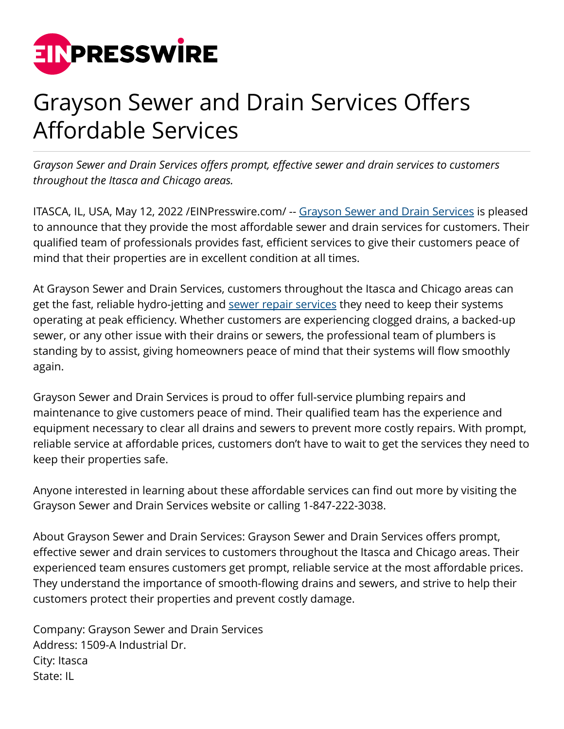

## Grayson Sewer and Drain Services Offers Affordable Services

*Grayson Sewer and Drain Services offers prompt, effective sewer and drain services to customers throughout the Itasca and Chicago areas.*

ITASCA, IL, USA, May 12, 2022 / EIN Presswire.com/ -- [Grayson Sewer and Drain Services](https://graysonsd.com/) is pleased to announce that they provide the most affordable sewer and drain services for customers. Their qualified team of professionals provides fast, efficient services to give their customers peace of mind that their properties are in excellent condition at all times.

At Grayson Sewer and Drain Services, customers throughout the Itasca and Chicago areas can get the fast, reliable hydro-jetting and [sewer repair services](https://graysonsd.com/sewer-services-chicago/) they need to keep their systems operating at peak efficiency. Whether customers are experiencing clogged drains, a backed-up sewer, or any other issue with their drains or sewers, the professional team of plumbers is standing by to assist, giving homeowners peace of mind that their systems will flow smoothly again.

Grayson Sewer and Drain Services is proud to offer full-service plumbing repairs and maintenance to give customers peace of mind. Their qualified team has the experience and equipment necessary to clear all drains and sewers to prevent more costly repairs. With prompt, reliable service at affordable prices, customers don't have to wait to get the services they need to keep their properties safe.

Anyone interested in learning about these affordable services can find out more by visiting the Grayson Sewer and Drain Services website or calling 1-847-222-3038.

About Grayson Sewer and Drain Services: Grayson Sewer and Drain Services offers prompt, effective sewer and drain services to customers throughout the Itasca and Chicago areas. Their experienced team ensures customers get prompt, reliable service at the most affordable prices. They understand the importance of smooth-flowing drains and sewers, and strive to help their customers protect their properties and prevent costly damage.

Company: Grayson Sewer and Drain Services Address: 1509-A Industrial Dr. City: Itasca State: IL